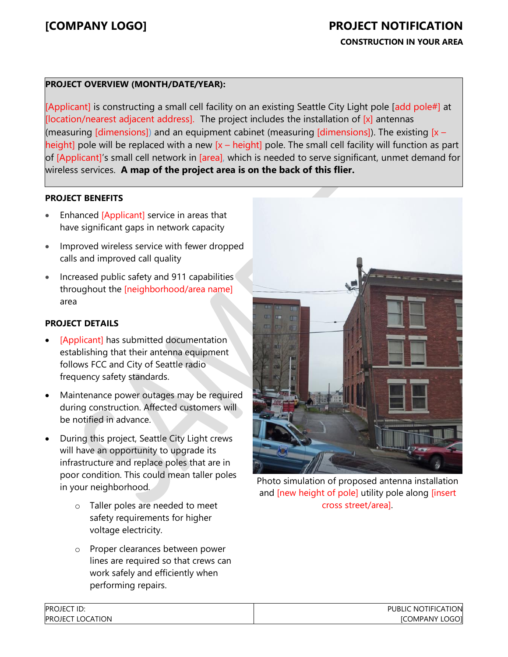## **CONSTRUCTION IN YOUR AREA**

## **PROJECT OVERVIEW (MONTH/DATE/YEAR):**

[Applicant] is constructing a small cell facility on an existing Seattle City Light pole [add pole#] at [location/nearest adjacent address]. The project includes the installation of  $[x]$  antennas (measuring [dimensions]) and an equipment cabinet (measuring [dimensions]). The existing  $[x -]$ height] pole will be replaced with a new  $[x - height]$  pole. The small cell facility will function as part of [Applicant]'s small cell network in [area], which is needed to serve significant, unmet demand for wireless services. **A map of the project area is on the back of this flier.**

## **PROJECT BENEFITS**

- Enhanced [Applicant] service in areas that have significant gaps in network capacity
- Improved wireless service with fewer dropped calls and improved call quality
- Increased public safety and 911 capabilities throughout the [neighborhood/area name] area

### **PROJECT DETAILS**

- [Applicant] has submitted documentation establishing that their antenna equipment follows FCC and City of Seattle radio frequency safety standards.
- Maintenance power outages may be required during construction. Affected customers will be notified in advance.
- During this project, Seattle City Light crews will have an opportunity to upgrade its infrastructure and replace poles that are in poor condition. This could mean taller poles in your neighborhood.
	- o Taller poles are needed to meet safety requirements for higher voltage electricity.
	- o Proper clearances between power lines are required so that crews can work safely and efficiently when performing repairs.



Photo simulation of proposed antenna installation and [new height of pole] utility pole along [insert cross street/area].

**PATION** LOGO]

| <b>PROJECT ID:</b>    | <b>NOTIFI</b><br><b>PUBLIC</b> |
|-----------------------|--------------------------------|
| PROJECT L<br>LOCATION | <b>ICOMPANY</b>                |